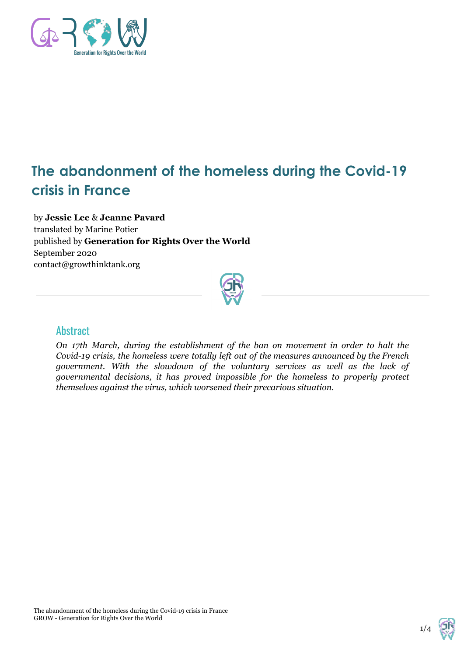

# **The abandonment of the homeless during the Covid-19 crisis in France**

by **Jessie Lee** & **Jeanne Pavard** translated by Marine Potier published by **Generation for Rights Over the World** September 2020 contact@growthinktank.org



#### **Abstract**

*On 17th March, during the establishment of the ban on movement in order to halt the Covid-19 crisis, the homeless were totally left out of the measures announced by the French government. With the slowdown of the voluntary services as well as the lack of governmental decisions, it has proved impossible for the homeless to properly protect themselves against the virus, which worsened their precarious situation.*

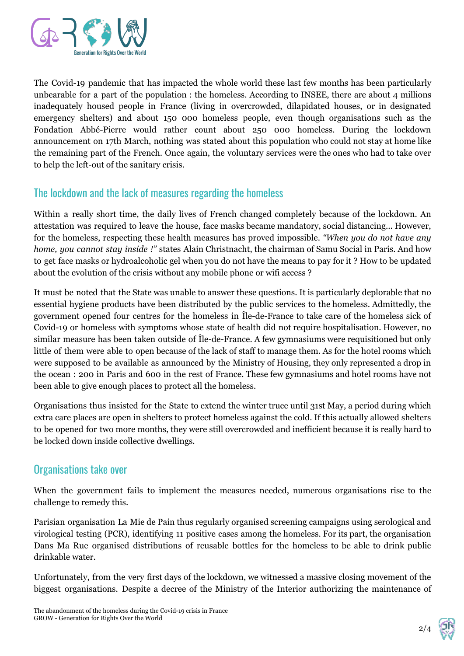

The Covid-19 pandemic that has impacted the whole world these last few months has been particularly unbearable for a part of the population : the homeless. According to INSEE, there are about 4 millions inadequately housed people in France (living in overcrowded, dilapidated houses, or in designated emergency shelters) and about 150 000 homeless people, even though organisations such as the Fondation Abbé-Pierre would rather count about 250 000 homeless. During the lockdown announcement on 17th March, nothing was stated about this population who could not stay at home like the remaining part of the French. Once again, the voluntary services were the ones who had to take over to help the left-out of the sanitary crisis.

## The lockdown and the lack of measures regarding the homeless

Within a really short time, the daily lives of French changed completely because of the lockdown. An attestation was required to leave the house, face masks became mandatory, social distancing... However, for the homeless, respecting these health measures has proved impossible. *"When you do not have any home, you cannot stay inside !"* states Alain Christnacht, the chairman of Samu Social in Paris. And how to get face masks or hydroalcoholic gel when you do not have the means to pay for it ? How to be updated about the evolution of the crisis without any mobile phone or wifi access ?

It must be noted that the State was unable to answer these questions. It is particularly deplorable that no essential hygiene products have been distributed by the public services to the homeless. Admittedly, the government opened four centres for the homeless in Île-de-France to take care of the homeless sick of Covid-19 or homeless with symptoms whose state of health did not require hospitalisation. However, no similar measure has been taken outside of Île-de-France. A few gymnasiums were requisitioned but only little of them were able to open because of the lack of staff to manage them. As for the hotel rooms which were supposed to be available as announced by the Ministry of Housing, they only represented a drop in the ocean : 200 in Paris and 600 in the rest of France. These few gymnasiums and hotel rooms have not been able to give enough places to protect all the homeless.

Organisations thus insisted for the State to extend the winter truce until 31st May, a period during which extra care places are open in shelters to protect homeless against the cold. If this actually allowed shelters to be opened for two more months, they were still overcrowded and inefficient because it is really hard to be locked down inside collective dwellings.

### Organisations take over

When the government fails to implement the measures needed, numerous organisations rise to the challenge to remedy this.

Parisian organisation La Mie de Pain thus regularly organised screening campaigns using serological and virological testing (PCR), identifying 11 positive cases among the homeless. For its part, the organisation Dans Ma Rue organised distributions of reusable bottles for the homeless to be able to drink public drinkable water.

Unfortunately, from the very first days of the lockdown, we witnessed a massive closing movement of the biggest organisations. Despite a decree of the Ministry of the Interior authorizing the maintenance of

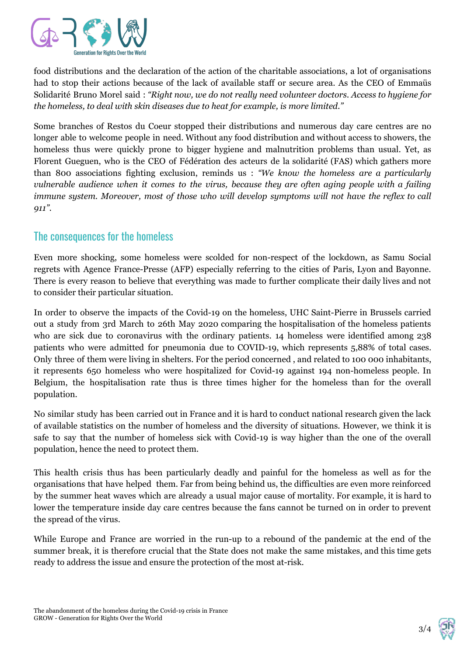

food distributions and the declaration of the action of the charitable associations, a lot of organisations had to stop their actions because of the lack of available staff or secure area. As the CEO of Emmaüs Solidarité Bruno Morel said : *"Right now, we do not really need volunteer doctors. Access to hygiene for the homeless, to deal with skin diseases due to heat for example, is more limited."*

Some branches of Restos du Coeur stopped their distributions and numerous day care centres are no longer able to welcome people in need. Without any food distribution and without access to showers, the homeless thus were quickly prone to bigger hygiene and malnutrition problems than usual. Yet, as Florent Gueguen, who is the CEO of Fédération des acteurs de la solidarité (FAS) which gathers more than 800 associations fighting exclusion, reminds us : *"We know the homeless are a particularly vulnerable audience when it comes to the virus, because they are often aging people with a failing immune system. Moreover, most of those who will develop symptoms will not have the reflex to call 911".*

### The consequences for the homeless

Even more shocking, some homeless were scolded for non-respect of the lockdown, as Samu Social regrets with Agence France-Presse (AFP) especially referring to the cities of Paris, Lyon and Bayonne. There is every reason to believe that everything was made to further complicate their daily lives and not to consider their particular situation.

In order to observe the impacts of the Covid-19 on the homeless, UHC Saint-Pierre in Brussels carried out a study from 3rd March to 26th May 2020 comparing the hospitalisation of the homeless patients who are sick due to coronavirus with the ordinary patients. 14 homeless were identified among 238 patients who were admitted for pneumonia due to COVID-19, which represents 5,88% of total cases. Only three of them were living in shelters. For the period concerned , and related to 100 000 inhabitants, it represents 650 homeless who were hospitalized for Covid-19 against 194 non-homeless people. In Belgium, the hospitalisation rate thus is three times higher for the homeless than for the overall population.

No similar study has been carried out in France and it is hard to conduct national research given the lack of available statistics on the number of homeless and the diversity of situations. However, we think it is safe to say that the number of homeless sick with Covid-19 is way higher than the one of the overall population, hence the need to protect them.

This health crisis thus has been particularly deadly and painful for the homeless as well as for the organisations that have helped them. Far from being behind us, the difficulties are even more reinforced by the summer heat waves which are already a usual major cause of mortality. For example, it is hard to lower the temperature inside day care centres because the fans cannot be turned on in order to prevent the spread of the virus.

While Europe and France are worried in the run-up to a rebound of the pandemic at the end of the summer break, it is therefore crucial that the State does not make the same mistakes, and this time gets ready to address the issue and ensure the protection of the most at-risk.